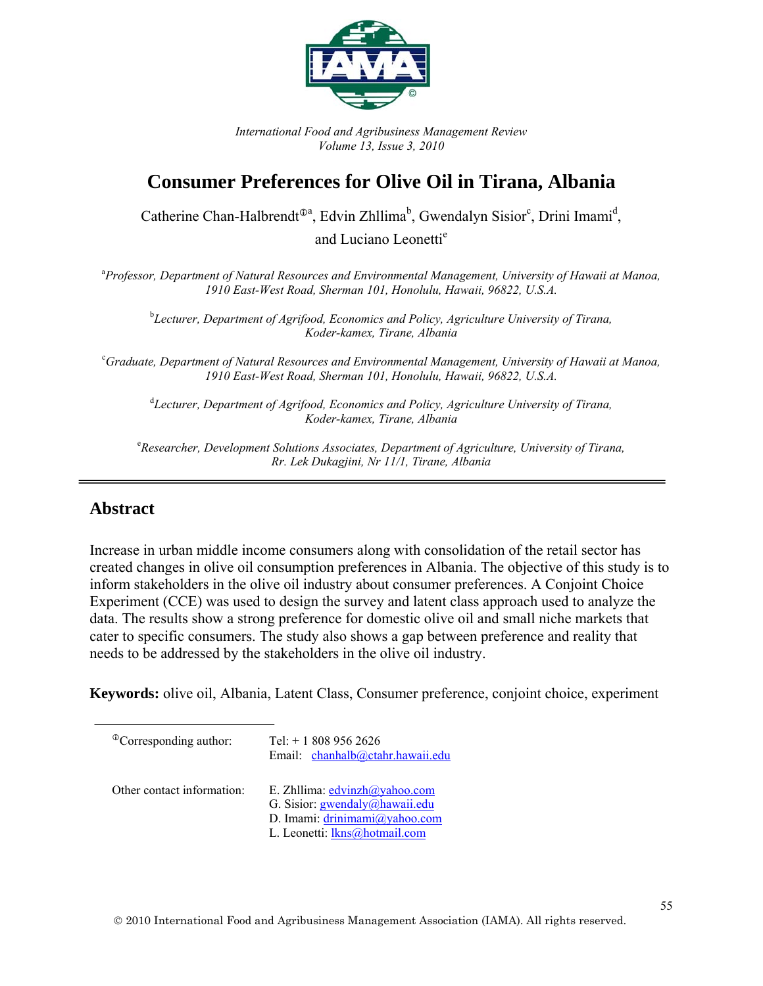

*International Food and Agribusiness Management Review Volume 13, Issue 3, 2010* 

# **Consumer Preferences for Olive Oil in Tirana, Albania**

Catherine Chan-Halbrendt<sup> $\Phi$ a</sup>, Edvin Zhllima<sup>b</sup>, Gwendalyn Sisior<sup>c</sup>, Drini Imami<sup>d</sup>,

and Luciano Leonetti<sup>e</sup>

a *Professor, Department of Natural Resources and Environmental Management, University of Hawaii at Manoa, 1910 East-West Road, Sherman 101, Honolulu, Hawaii, 96822, U.S.A.* 

<sup>b</sup>Lecturer, Department of Agrifood, Economics and Policy, Agriculture University of Tirana, *Koder-kamex, Tirane, Albania* 

c *Graduate, Department of Natural Resources and Environmental Management, University of Hawaii at Manoa, 1910 East-West Road, Sherman 101, Honolulu, Hawaii, 96822, U.S.A.* 

<sup>d</sup> Lecturer, Department of Agrifood, Economics and Policy, Agriculture University of Tirana, *Koder-kamex, Tirane, Albania* 

<sup>e</sup> Researcher, Development Solutions Associates, Department of Agriculture, University of Tirana, *Rr. Lek Dukagjini, Nr 11/1, Tirane, Albania* 

# **Abstract**

Increase in urban middle income consumers along with consolidation of the retail sector has created changes in olive oil consumption preferences in Albania. The objective of this study is to inform stakeholders in the olive oil industry about consumer preferences. A Conjoint Choice Experiment (CCE) was used to design the survey and latent class approach used to analyze the data. The results show a strong preference for domestic olive oil and small niche markets that cater to specific consumers. The study also shows a gap between preference and reality that needs to be addressed by the stakeholders in the olive oil industry.

**Keywords:** olive oil, Albania, Latent Class, Consumer preference, conjoint choice, experiment

| <sup>®</sup> Corresponding author: | Tel: $+18089562626$<br>Email: chanhalb@ctahr.hawaii.edu                                                    |
|------------------------------------|------------------------------------------------------------------------------------------------------------|
| Other contact information:         | E. Zhllima: edvinzh@yahoo.com<br>G. Sisior: <i>gwendaly@hawaii.edu</i><br>D. Imami: $driniimami@yahoo.com$ |
|                                    | L. Leonetti: lkns@hotmail.com                                                                              |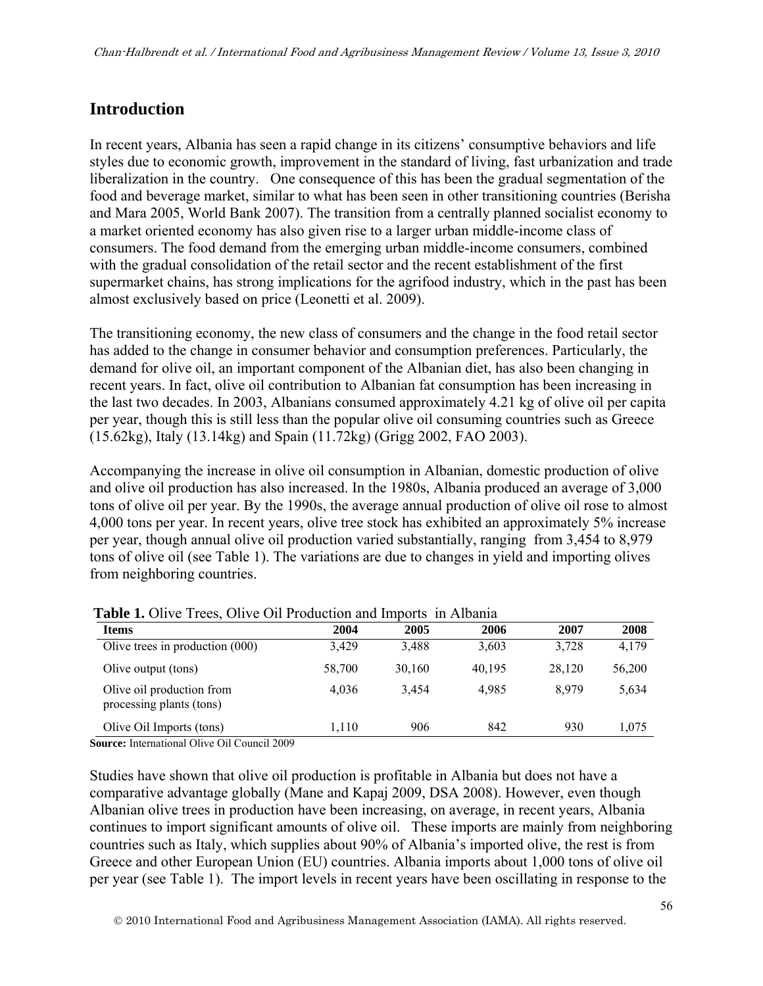# **Introduction**

In recent years, Albania has seen a rapid change in its citizens' consumptive behaviors and life styles due to economic growth, improvement in the standard of living, fast urbanization and trade liberalization in the country. One consequence of this has been the gradual segmentation of the food and beverage market, similar to what has been seen in other transitioning countries (Berisha and Mara 2005, World Bank 2007). The transition from a centrally planned socialist economy to a market oriented economy has also given rise to a larger urban middle-income class of consumers. The food demand from the emerging urban middle-income consumers, combined with the gradual consolidation of the retail sector and the recent establishment of the first supermarket chains, has strong implications for the agrifood industry, which in the past has been almost exclusively based on price (Leonetti et al. 2009).

The transitioning economy, the new class of consumers and the change in the food retail sector has added to the change in consumer behavior and consumption preferences. Particularly, the demand for olive oil, an important component of the Albanian diet, has also been changing in recent years. In fact, olive oil contribution to Albanian fat consumption has been increasing in the last two decades. In 2003, Albanians consumed approximately 4.21 kg of olive oil per capita per year, though this is still less than the popular olive oil consuming countries such as Greece (15.62kg), Italy (13.14kg) and Spain (11.72kg) (Grigg 2002, FAO 2003).

Accompanying the increase in olive oil consumption in Albanian, domestic production of olive and olive oil production has also increased. In the 1980s, Albania produced an average of 3,000 tons of olive oil per year. By the 1990s, the average annual production of olive oil rose to almost 4,000 tons per year. In recent years, olive tree stock has exhibited an approximately 5% increase per year, though annual olive oil production varied substantially, ranging from 3,454 to 8,979 tons of olive oil (see Table 1). The variations are due to changes in yield and importing olives from neighboring countries.

| <b>Items</b>                                          | 2004   | 2005   | 2006   | 2007   | 2008   |
|-------------------------------------------------------|--------|--------|--------|--------|--------|
| Olive trees in production (000)                       | 3,429  | 3.488  | 3,603  | 3.728  | 4,179  |
| Olive output (tons)                                   | 58,700 | 30,160 | 40,195 | 28.120 | 56,200 |
| Olive oil production from<br>processing plants (tons) | 4.036  | 3.454  | 4.985  | 8.979  | 5,634  |
| Olive Oil Imports (tons)                              | 1.110  | 906    | 842    | 930    | 1,075  |

**Table 1.** Olive Trees, Olive Oil Production and Imports, in Albania.

**Source:** International Olive Oil Council 2009

Studies have shown that olive oil production is profitable in Albania but does not have a comparative advantage globally (Mane and Kapaj 2009, DSA 2008). However, even though Albanian olive trees in production have been increasing, on average, in recent years, Albania continues to import significant amounts of olive oil. These imports are mainly from neighboring countries such as Italy, which supplies about 90% of Albania's imported olive, the rest is from Greece and other European Union (EU) countries. Albania imports about 1,000 tons of olive oil per year (see Table 1). The import levels in recent years have been oscillating in response to the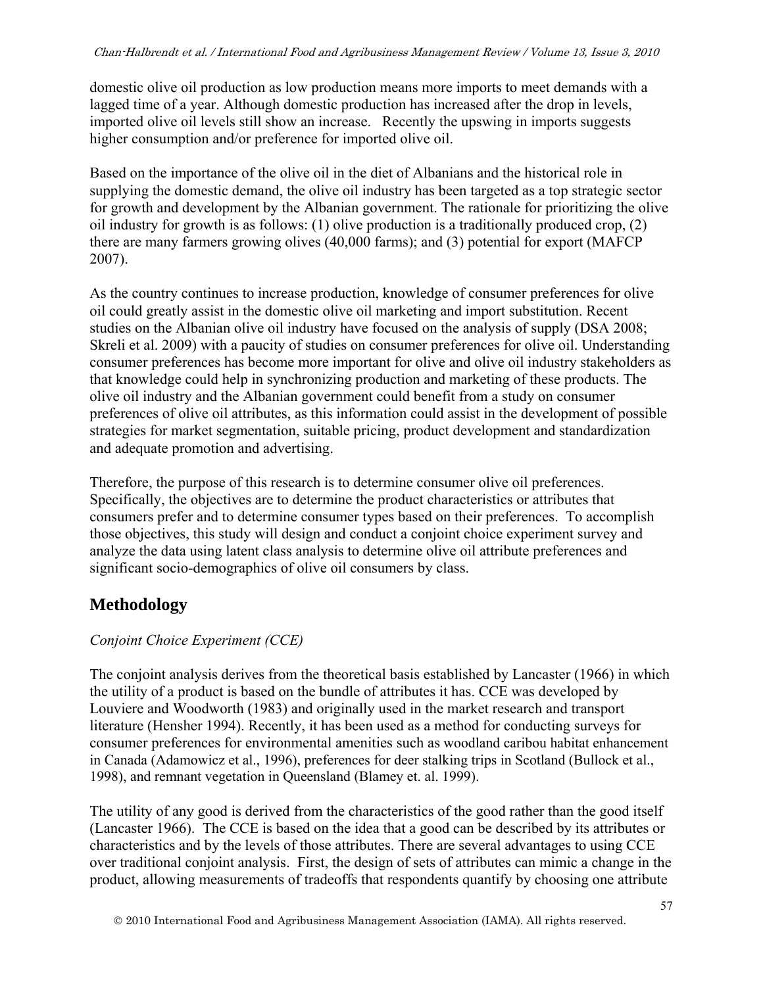domestic olive oil production as low production means more imports to meet demands with a lagged time of a year. Although domestic production has increased after the drop in levels, imported olive oil levels still show an increase. Recently the upswing in imports suggests higher consumption and/or preference for imported olive oil.

Based on the importance of the olive oil in the diet of Albanians and the historical role in supplying the domestic demand, the olive oil industry has been targeted as a top strategic sector for growth and development by the Albanian government. The rationale for prioritizing the olive oil industry for growth is as follows: (1) olive production is a traditionally produced crop, (2) there are many farmers growing olives (40,000 farms); and (3) potential for export (MAFCP 2007).

As the country continues to increase production, knowledge of consumer preferences for olive oil could greatly assist in the domestic olive oil marketing and import substitution. Recent studies on the Albanian olive oil industry have focused on the analysis of supply (DSA 2008; Skreli et al. 2009) with a paucity of studies on consumer preferences for olive oil. Understanding consumer preferences has become more important for olive and olive oil industry stakeholders as that knowledge could help in synchronizing production and marketing of these products. The olive oil industry and the Albanian government could benefit from a study on consumer preferences of olive oil attributes, as this information could assist in the development of possible strategies for market segmentation, suitable pricing, product development and standardization and adequate promotion and advertising.

Therefore, the purpose of this research is to determine consumer olive oil preferences. Specifically, the objectives are to determine the product characteristics or attributes that consumers prefer and to determine consumer types based on their preferences. To accomplish those objectives, this study will design and conduct a conjoint choice experiment survey and analyze the data using latent class analysis to determine olive oil attribute preferences and significant socio-demographics of olive oil consumers by class.

# **Methodology**

## *Conjoint Choice Experiment (CCE)*

The conjoint analysis derives from the theoretical basis established by Lancaster (1966) in which the utility of a product is based on the bundle of attributes it has. CCE was developed by Louviere and Woodworth (1983) and originally used in the market research and transport literature (Hensher 1994). Recently, it has been used as a method for conducting surveys for consumer preferences for environmental amenities such as woodland caribou habitat enhancement in Canada (Adamowicz et al., 1996), preferences for deer stalking trips in Scotland (Bullock et al., 1998), and remnant vegetation in Queensland (Blamey et. al. 1999).

The utility of any good is derived from the characteristics of the good rather than the good itself (Lancaster 1966). The CCE is based on the idea that a good can be described by its attributes or characteristics and by the levels of those attributes. There are several advantages to using CCE over traditional conjoint analysis. First, the design of sets of attributes can mimic a change in the product, allowing measurements of tradeoffs that respondents quantify by choosing one attribute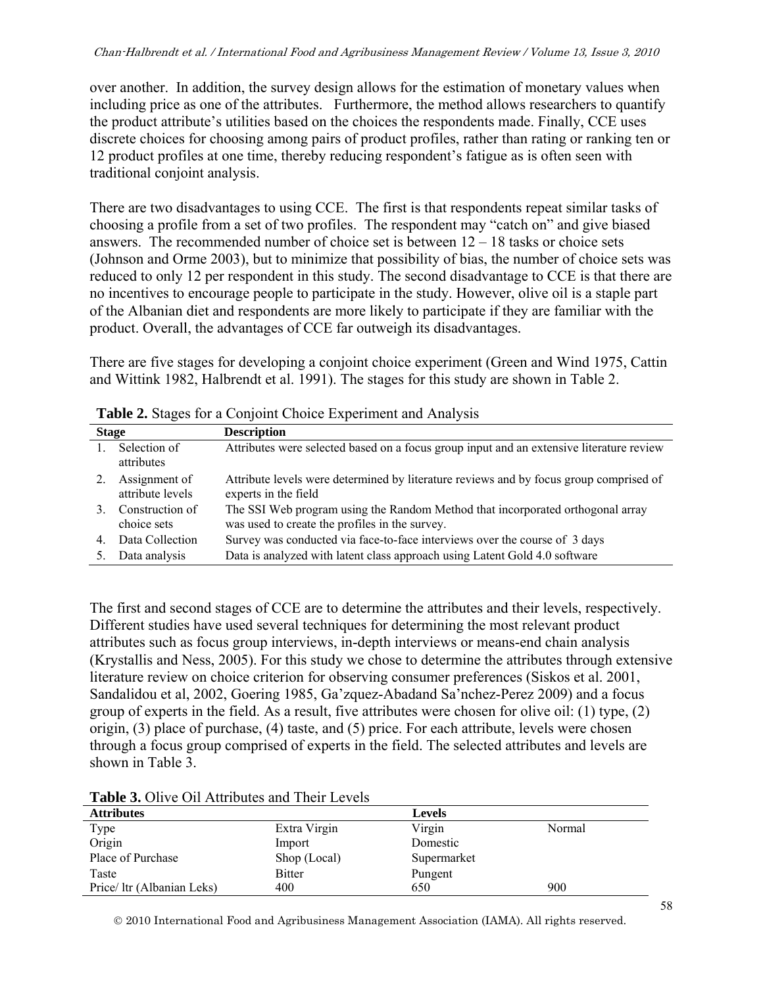over another. In addition, the survey design allows for the estimation of monetary values when including price as one of the attributes. Furthermore, the method allows researchers to quantify the product attribute's utilities based on the choices the respondents made. Finally, CCE uses discrete choices for choosing among pairs of product profiles, rather than rating or ranking ten or 12 product profiles at one time, thereby reducing respondent's fatigue as is often seen with traditional conjoint analysis.

There are two disadvantages to using CCE. The first is that respondents repeat similar tasks of choosing a profile from a set of two profiles. The respondent may "catch on" and give biased answers. The recommended number of choice set is between 12 – 18 tasks or choice sets (Johnson and Orme 2003), but to minimize that possibility of bias, the number of choice sets was reduced to only 12 per respondent in this study. The second disadvantage to CCE is that there are no incentives to encourage people to participate in the study. However, olive oil is a staple part of the Albanian diet and respondents are more likely to participate if they are familiar with the product. Overall, the advantages of CCE far outweigh its disadvantages.

There are five stages for developing a conjoint choice experiment (Green and Wind 1975, Cattin and Wittink 1982, Halbrendt et al. 1991). The stages for this study are shown in Table 2.

| <b>Stage</b> |                                   | <b>Description</b>                                                                                                               |
|--------------|-----------------------------------|----------------------------------------------------------------------------------------------------------------------------------|
|              | Selection of<br>attributes        | Attributes were selected based on a focus group input and an extensive literature review                                         |
|              | Assignment of<br>attribute levels | Attribute levels were determined by literature reviews and by focus group comprised of<br>experts in the field                   |
|              | Construction of<br>choice sets    | The SSI Web program using the Random Method that incorporated orthogonal array<br>was used to create the profiles in the survey. |
| 4            | Data Collection                   | Survey was conducted via face-to-face interviews over the course of 3 days                                                       |
|              | Data analysis                     | Data is analyzed with latent class approach using Latent Gold 4.0 software                                                       |

| Table 2. Stages for a Conjoint Choice Experiment and Analysis |  |  |  |  |  |  |  |
|---------------------------------------------------------------|--|--|--|--|--|--|--|
|---------------------------------------------------------------|--|--|--|--|--|--|--|

The first and second stages of CCE are to determine the attributes and their levels, respectively. Different studies have used several techniques for determining the most relevant product attributes such as focus group interviews, in-depth interviews or means-end chain analysis (Krystallis and Ness, 2005). For this study we chose to determine the attributes through extensive literature review on choice criterion for observing consumer preferences (Siskos et al. 2001, Sandalidou et al, 2002, Goering 1985, Ga'zquez-Abadand Sa'nchez-Perez 2009) and a focus group of experts in the field. As a result, five attributes were chosen for olive oil: (1) type, (2) origin, (3) place of purchase, (4) taste, and (5) price. For each attribute, levels were chosen through a focus group comprised of experts in the field. The selected attributes and levels are shown in Table 3

**Table 3.** Olive Oil Attributes and Their Levels

| <b>Attributes</b>          |               | <b>Levels</b> |        |
|----------------------------|---------------|---------------|--------|
| Type                       | Extra Virgin  | Virgin        | Normal |
| Origin                     | Import        | Domestic      |        |
| Place of Purchase          | Shop (Local)  | Supermarket   |        |
| Taste                      | <b>Bitter</b> | Pungent       |        |
| Price/ ltr (Albanian Leks) | 400           | 650           | 900    |

2010 International Food and Agribusiness Management Association (IAMA). All rights reserved.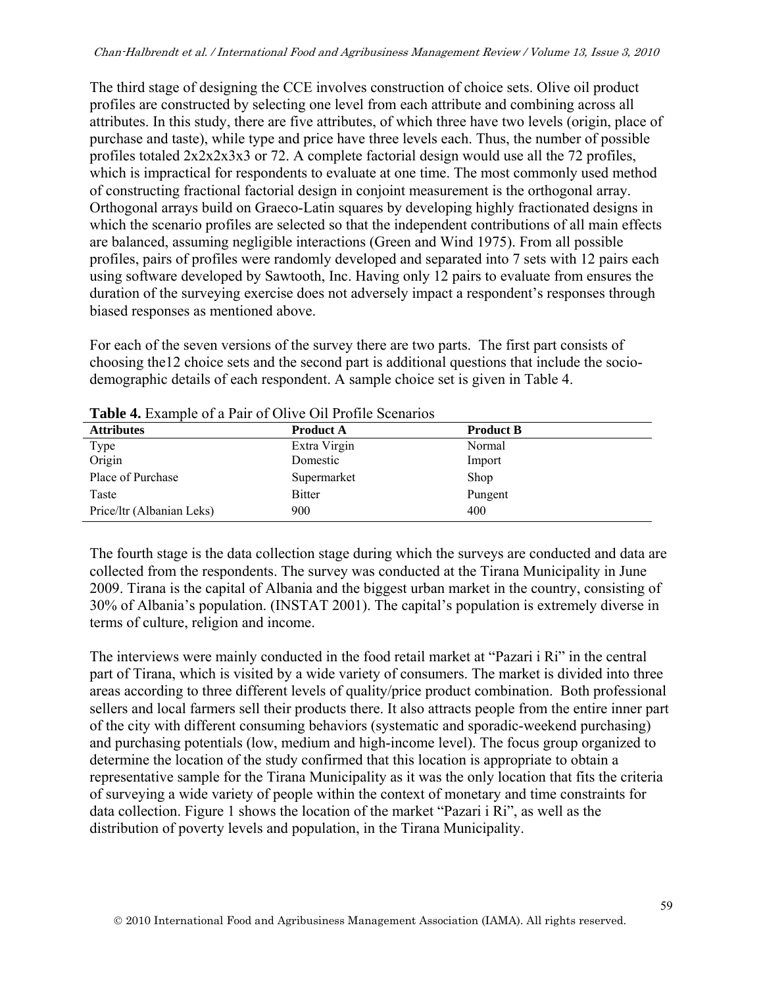The third stage of designing the CCE involves construction of choice sets. Olive oil product profiles are constructed by selecting one level from each attribute and combining across all attributes. In this study, there are five attributes, of which three have two levels (origin, place of purchase and taste), while type and price have three levels each. Thus, the number of possible profiles totaled 2x2x2x3x3 or 72. A complete factorial design would use all the 72 profiles, which is impractical for respondents to evaluate at one time. The most commonly used method of constructing fractional factorial design in conjoint measurement is the orthogonal array. Orthogonal arrays build on Graeco-Latin squares by developing highly fractionated designs in which the scenario profiles are selected so that the independent contributions of all main effects are balanced, assuming negligible interactions (Green and Wind 1975). From all possible profiles, pairs of profiles were randomly developed and separated into 7 sets with 12 pairs each using software developed by Sawtooth, Inc. Having only 12 pairs to evaluate from ensures the duration of the surveying exercise does not adversely impact a respondent's responses through biased responses as mentioned above.

For each of the seven versions of the survey there are two parts. The first part consists of choosing the12 choice sets and the second part is additional questions that include the sociodemographic details of each respondent. A sample choice set is given in Table 4.

| <b>Attributes</b>         | <b>Product A</b> | <b>Product B</b> |
|---------------------------|------------------|------------------|
| Type                      | Extra Virgin     | Normal           |
| Origin                    | Domestic         | Import           |
| Place of Purchase         | Supermarket      | Shop             |
| Taste                     | <b>Bitter</b>    | Pungent          |
| Price/ltr (Albanian Leks) | 900              | 400              |

**Table 4.** Example of a Pair of Olive Oil Profile Scenarios

The fourth stage is the data collection stage during which the surveys are conducted and data are collected from the respondents. The survey was conducted at the Tirana Municipality in June 2009. Tirana is the capital of Albania and the biggest urban market in the country, consisting of 30% of Albania's population. (INSTAT 2001). The capital's population is extremely diverse in terms of culture, religion and income.

The interviews were mainly conducted in the food retail market at "Pazari i Ri" in the central part of Tirana, which is visited by a wide variety of consumers. The market is divided into three areas according to three different levels of quality/price product combination. Both professional sellers and local farmers sell their products there. It also attracts people from the entire inner part of the city with different consuming behaviors (systematic and sporadic-weekend purchasing) and purchasing potentials (low, medium and high-income level). The focus group organized to determine the location of the study confirmed that this location is appropriate to obtain a representative sample for the Tirana Municipality as it was the only location that fits the criteria of surveying a wide variety of people within the context of monetary and time constraints for data collection. Figure 1 shows the location of the market "Pazari i Ri", as well as the distribution of poverty levels and population, in the Tirana Municipality.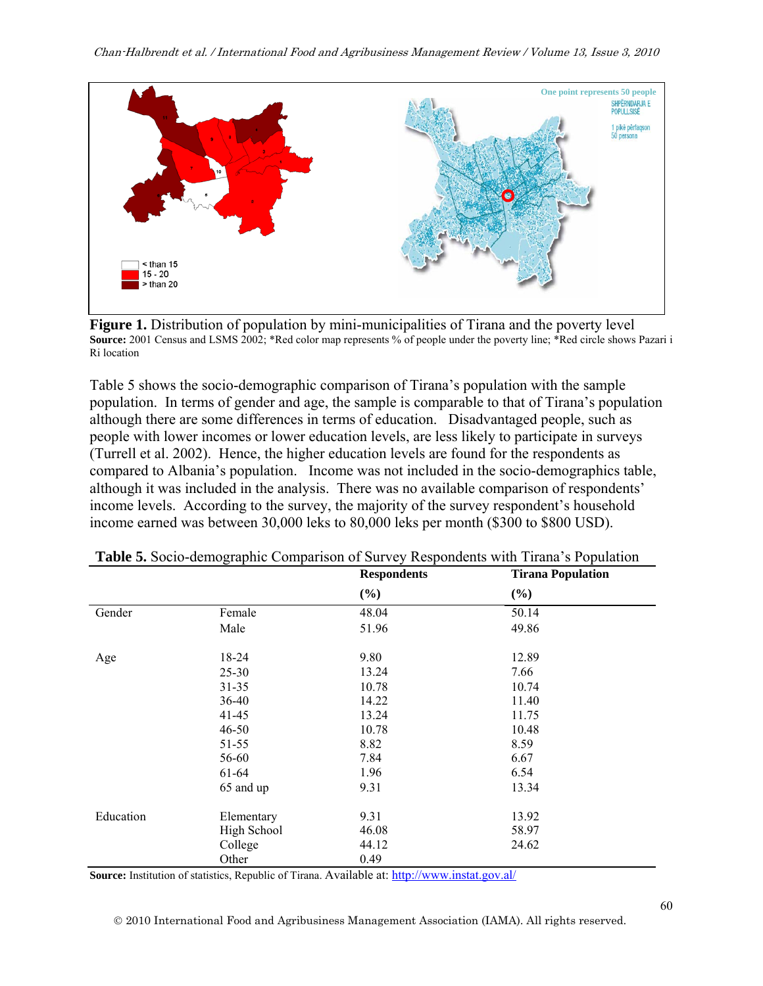

**Figure 1.** Distribution of population by mini-municipalities of Tirana and the poverty level **Source:** 2001 Census and LSMS 2002; \*Red color map represents % of people under the poverty line; \*Red circle shows Pazari i Ri location

Table 5 shows the socio-demographic comparison of Tirana's population with the sample population. In terms of gender and age, the sample is comparable to that of Tirana's population although there are some differences in terms of education. Disadvantaged people, such as people with lower incomes or lower education levels, are less likely to participate in surveys (Turrell et al. 2002). Hence, the higher education levels are found for the respondents as compared to Albania's population. Income was not included in the socio-demographics table, although it was included in the analysis. There was no available comparison of respondents' income levels. According to the survey, the majority of the survey respondent's household income earned was between 30,000 leks to 80,000 leks per month (\$300 to \$800 USD).

|           |             | <b>Respondents</b> | <b>Tirana Population</b> |
|-----------|-------------|--------------------|--------------------------|
|           |             | $(\%)$             | $(\%)$                   |
| Gender    | Female      | 48.04              | 50.14                    |
|           | Male        | 51.96              | 49.86                    |
| Age       | 18-24       | 9.80               | 12.89                    |
|           | $25 - 30$   | 13.24              | 7.66                     |
|           | $31 - 35$   | 10.78              | 10.74                    |
|           | 36-40       | 14.22              | 11.40                    |
|           | 41-45       | 13.24              | 11.75                    |
|           | $46 - 50$   | 10.78              | 10.48                    |
|           | 51-55       | 8.82               | 8.59                     |
|           | 56-60       | 7.84               | 6.67                     |
|           | 61-64       | 1.96               | 6.54                     |
|           | 65 and up   | 9.31               | 13.34                    |
| Education | Elementary  | 9.31               | 13.92                    |
|           | High School | 46.08              | 58.97                    |
|           | College     | 44.12              | 24.62                    |
|           | Other       | 0.49               |                          |

| Table 5. Socio-demographic Comparison of Survey Respondents with Tirana's Population |  |  |  |  |
|--------------------------------------------------------------------------------------|--|--|--|--|
|--------------------------------------------------------------------------------------|--|--|--|--|

**Source:** Institution of statistics, Republic of Tirana. Available at: http://www.instat.gov.al/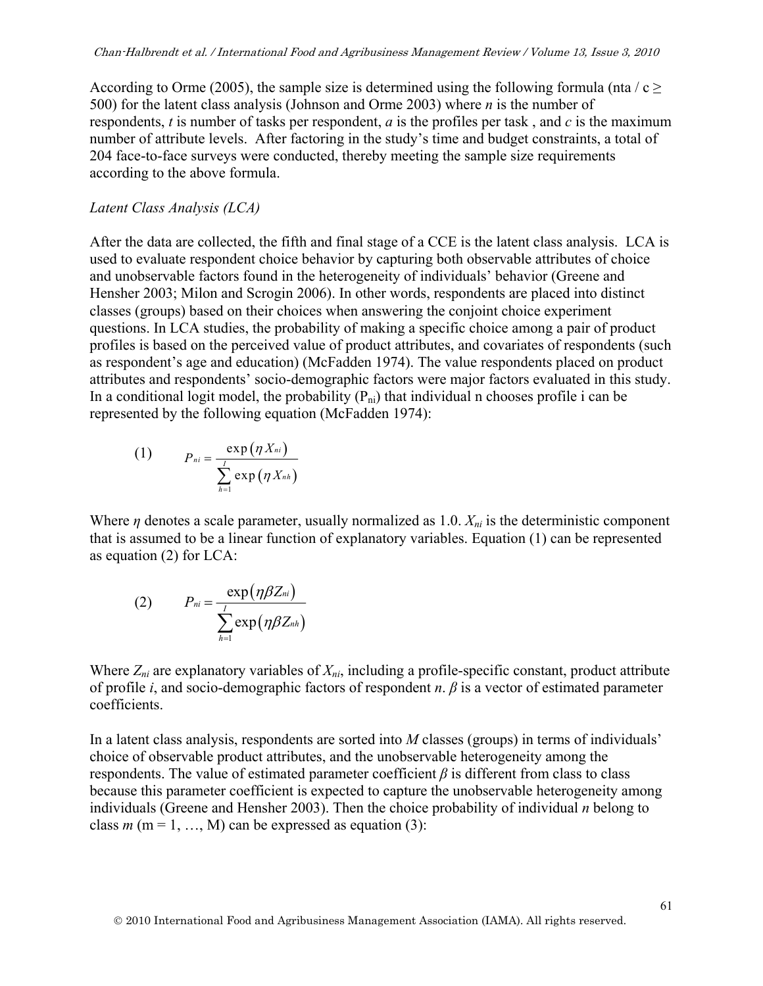According to Orme (2005), the sample size is determined using the following formula (nta /  $c \ge$ 500) for the latent class analysis (Johnson and Orme 2003) where *n* is the number of respondents, *t* is number of tasks per respondent, *a* is the profiles per task , and *c* is the maximum number of attribute levels. After factoring in the study's time and budget constraints, a total of 204 face-to-face surveys were conducted, thereby meeting the sample size requirements according to the above formula.

#### *Latent Class Analysis (LCA)*

After the data are collected, the fifth and final stage of a CCE is the latent class analysis. LCA is used to evaluate respondent choice behavior by capturing both observable attributes of choice and unobservable factors found in the heterogeneity of individuals' behavior (Greene and Hensher 2003; Milon and Scrogin 2006). In other words, respondents are placed into distinct classes (groups) based on their choices when answering the conjoint choice experiment questions. In LCA studies, the probability of making a specific choice among a pair of product profiles is based on the perceived value of product attributes, and covariates of respondents (such as respondent's age and education) (McFadden 1974). The value respondents placed on product attributes and respondents' socio-demographic factors were major factors evaluated in this study. In a conditional logit model, the probability  $(P_{ni})$  that individual n chooses profile i can be represented by the following equation (McFadden 1974):

(1) 
$$
P_{ni} = \frac{\exp(\eta X_{ni})}{\sum_{h=1}^{I} \exp(\eta X_{nh})}
$$

Where  $\eta$  denotes a scale parameter, usually normalized as 1.0.  $X_{ni}$  is the deterministic component that is assumed to be a linear function of explanatory variables. Equation (1) can be represented as equation (2) for LCA:

(2) 
$$
P_{ni} = \frac{\exp(\eta \beta Z_{ni})}{\sum_{h=1}^{I} \exp(\eta \beta Z_{nh})}
$$

Where  $Z_{ni}$  are explanatory variables of  $X_{ni}$ , including a profile-specific constant, product attribute of profile *i*, and socio-demographic factors of respondent *n*. *β* is a vector of estimated parameter coefficients.

In a latent class analysis, respondents are sorted into *M* classes (groups) in terms of individuals' choice of observable product attributes, and the unobservable heterogeneity among the respondents. The value of estimated parameter coefficient *β* is different from class to class because this parameter coefficient is expected to capture the unobservable heterogeneity among individuals (Greene and Hensher 2003). Then the choice probability of individual *n* belong to class  $m$  (m = 1, …, M) can be expressed as equation (3):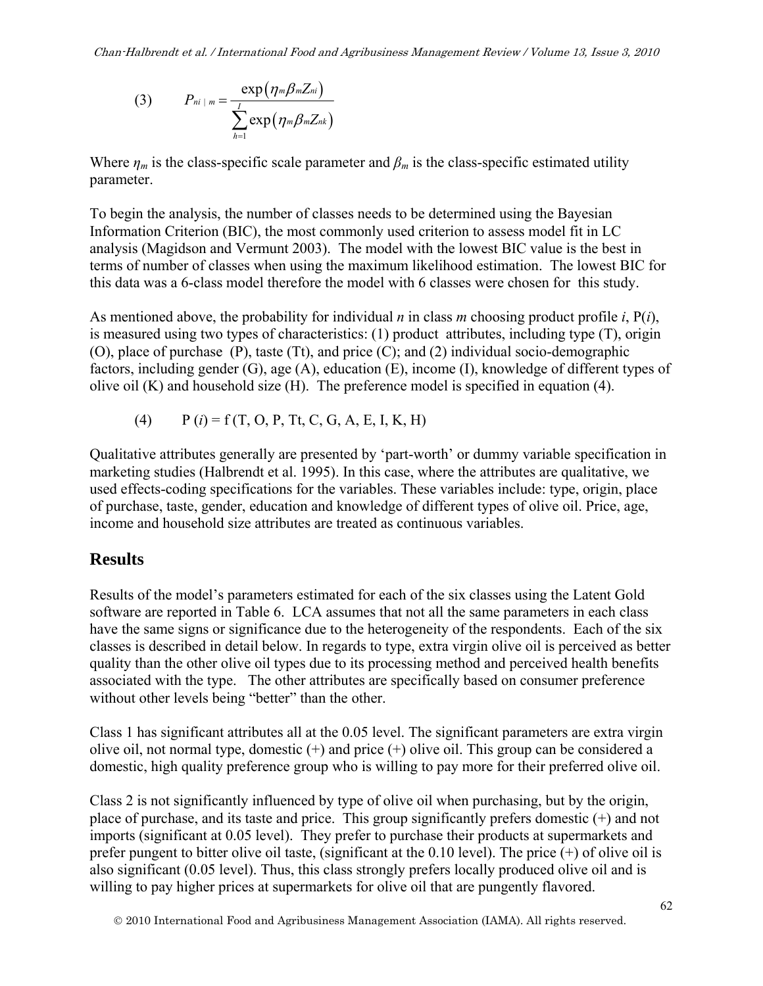(3) 
$$
P_{ni+m} = \frac{\exp(\eta_m \beta_m Z_{ni})}{\sum_{h=1}^{I} \exp(\eta_m \beta_m Z_{nk})}
$$

Where  $\eta_m$  is the class-specific scale parameter and  $\beta_m$  is the class-specific estimated utility parameter.

To begin the analysis, the number of classes needs to be determined using the Bayesian Information Criterion (BIC), the most commonly used criterion to assess model fit in LC analysis (Magidson and Vermunt 2003). The model with the lowest BIC value is the best in terms of number of classes when using the maximum likelihood estimation. The lowest BIC for this data was a 6-class model therefore the model with 6 classes were chosen for this study.

As mentioned above, the probability for individual *n* in class *m* choosing product profile *i*, P(*i*), is measured using two types of characteristics: (1) product attributes, including type (T), origin (O), place of purchase (P), taste (Tt), and price (C); and (2) individual socio-demographic factors, including gender (G), age (A), education (E), income (I), knowledge of different types of olive oil (K) and household size (H). The preference model is specified in equation (4).

(4) 
$$
P(i) = f(T, O, P, Tt, C, G, A, E, I, K, H)
$$

Qualitative attributes generally are presented by 'part-worth' or dummy variable specification in marketing studies (Halbrendt et al. 1995). In this case, where the attributes are qualitative, we used effects-coding specifications for the variables. These variables include: type, origin, place of purchase, taste, gender, education and knowledge of different types of olive oil. Price, age, income and household size attributes are treated as continuous variables.

## **Results**

Results of the model's parameters estimated for each of the six classes using the Latent Gold software are reported in Table 6. LCA assumes that not all the same parameters in each class have the same signs or significance due to the heterogeneity of the respondents. Each of the six classes is described in detail below. In regards to type, extra virgin olive oil is perceived as better quality than the other olive oil types due to its processing method and perceived health benefits associated with the type. The other attributes are specifically based on consumer preference without other levels being "better" than the other.

Class 1 has significant attributes all at the 0.05 level. The significant parameters are extra virgin olive oil, not normal type, domestic (+) and price (+) olive oil. This group can be considered a domestic, high quality preference group who is willing to pay more for their preferred olive oil.

Class 2 is not significantly influenced by type of olive oil when purchasing, but by the origin, place of purchase, and its taste and price. This group significantly prefers domestic (+) and not imports (significant at 0.05 level). They prefer to purchase their products at supermarkets and prefer pungent to bitter olive oil taste, (significant at the 0.10 level). The price  $(+)$  of olive oil is also significant (0.05 level). Thus, this class strongly prefers locally produced olive oil and is willing to pay higher prices at supermarkets for olive oil that are pungently flavored.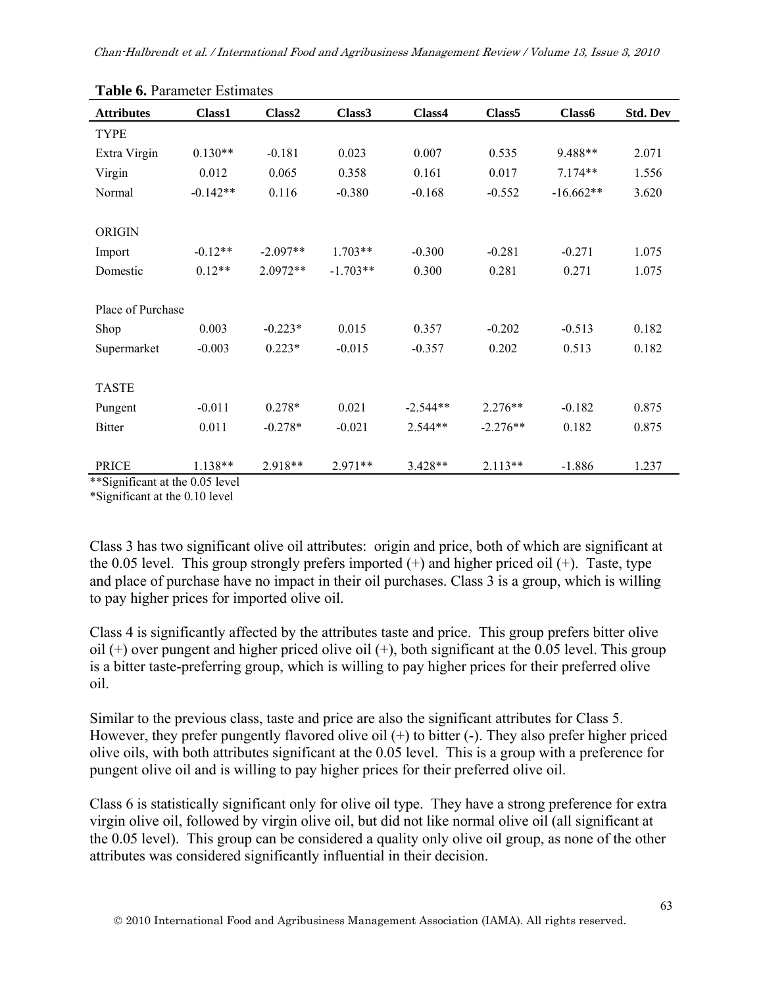| <b>radic v.</b> I didilición Estimatos |            |                    |                    |            |                    |             |                 |
|----------------------------------------|------------|--------------------|--------------------|------------|--------------------|-------------|-----------------|
| <b>Attributes</b>                      | Class1     | Class <sub>2</sub> | Class <sub>3</sub> | Class4     | Class <sub>5</sub> | Class6      | <b>Std. Dev</b> |
| <b>TYPE</b>                            |            |                    |                    |            |                    |             |                 |
| Extra Virgin                           | $0.130**$  | $-0.181$           | 0.023              | 0.007      | 0.535              | 9.488**     | 2.071           |
| Virgin                                 | 0.012      | 0.065              | 0.358              | 0.161      | 0.017              | $7.174**$   | 1.556           |
| Normal                                 | $-0.142**$ | 0.116              | $-0.380$           | $-0.168$   | $-0.552$           | $-16.662**$ | 3.620           |
|                                        |            |                    |                    |            |                    |             |                 |
| <b>ORIGIN</b>                          |            |                    |                    |            |                    |             |                 |
| Import                                 | $-0.12**$  | $-2.097**$         | $1.703**$          | $-0.300$   | $-0.281$           | $-0.271$    | 1.075           |
| Domestic                               | $0.12**$   | $2.0972**$         | $-1.703**$         | 0.300      | 0.281              | 0.271       | 1.075           |
|                                        |            |                    |                    |            |                    |             |                 |
| Place of Purchase                      |            |                    |                    |            |                    |             |                 |
| Shop                                   | 0.003      | $-0.223*$          | 0.015              | 0.357      | $-0.202$           | $-0.513$    | 0.182           |
| Supermarket                            | $-0.003$   | $0.223*$           | $-0.015$           | $-0.357$   | 0.202              | 0.513       | 0.182           |
|                                        |            |                    |                    |            |                    |             |                 |
| <b>TASTE</b>                           |            |                    |                    |            |                    |             |                 |
| Pungent                                | $-0.011$   | $0.278*$           | 0.021              | $-2.544**$ | $2.276**$          | $-0.182$    | 0.875           |
| <b>Bitter</b>                          | 0.011      | $-0.278*$          | $-0.021$           | $2.544**$  | $-2.276**$         | 0.182       | 0.875           |
|                                        |            |                    |                    |            |                    |             |                 |
| <b>PRICE</b>                           | $1.138**$  | 2.918**            | $2.971**$          | $3.428**$  | $2.113**$          | $-1.886$    | 1.237           |

**Table 6.** Parameter Estimates

\*\*Significant at the 0.05 level

\*Significant at the 0.10 level

Class 3 has two significant olive oil attributes: origin and price, both of which are significant at the 0.05 level. This group strongly prefers imported  $(+)$  and higher priced oil  $(+)$ . Taste, type and place of purchase have no impact in their oil purchases. Class 3 is a group, which is willing to pay higher prices for imported olive oil.

Class 4 is significantly affected by the attributes taste and price. This group prefers bitter olive oil  $(+)$  over pungent and higher priced olive oil  $(+)$ , both significant at the 0.05 level. This group is a bitter taste-preferring group, which is willing to pay higher prices for their preferred olive oil.

Similar to the previous class, taste and price are also the significant attributes for Class 5. However, they prefer pungently flavored olive oil (+) to bitter (-). They also prefer higher priced olive oils, with both attributes significant at the 0.05 level. This is a group with a preference for pungent olive oil and is willing to pay higher prices for their preferred olive oil.

Class 6 is statistically significant only for olive oil type. They have a strong preference for extra virgin olive oil, followed by virgin olive oil, but did not like normal olive oil (all significant at the 0.05 level). This group can be considered a quality only olive oil group, as none of the other attributes was considered significantly influential in their decision.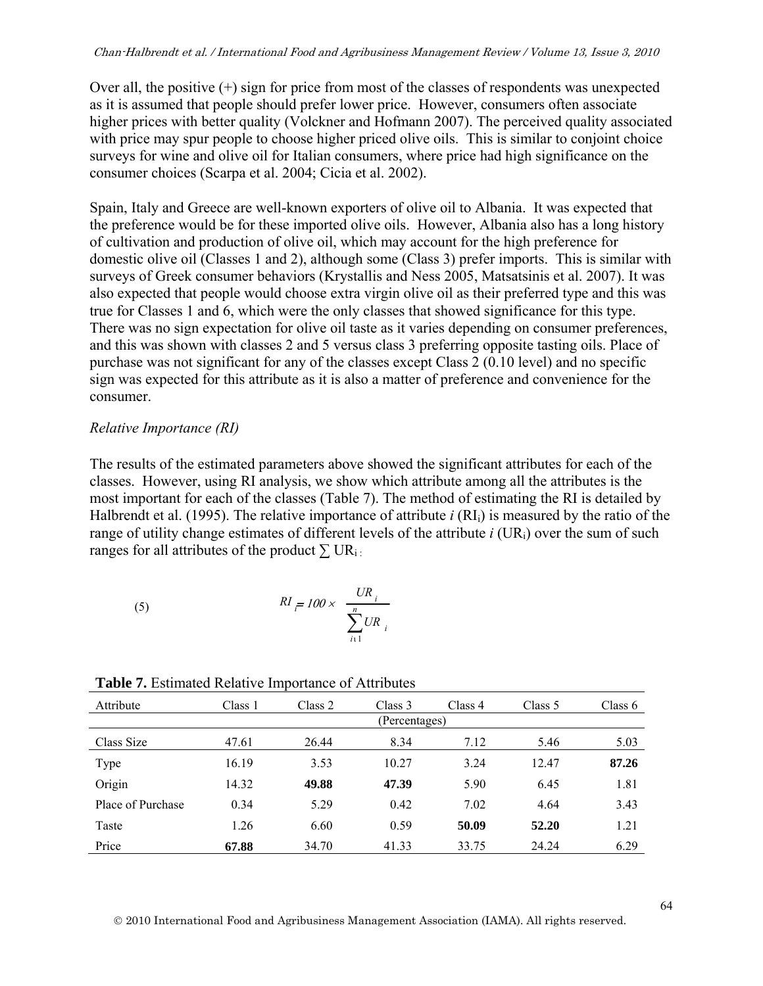Over all, the positive  $(+)$  sign for price from most of the classes of respondents was unexpected as it is assumed that people should prefer lower price. However, consumers often associate higher prices with better quality (Volckner and Hofmann 2007). The perceived quality associated with price may spur people to choose higher priced olive oils. This is similar to conjoint choice surveys for wine and olive oil for Italian consumers, where price had high significance on the consumer choices (Scarpa et al. 2004; Cicia et al. 2002).

Spain, Italy and Greece are well-known exporters of olive oil to Albania. It was expected that the preference would be for these imported olive oils. However, Albania also has a long history of cultivation and production of olive oil, which may account for the high preference for domestic olive oil (Classes 1 and 2), although some (Class 3) prefer imports. This is similar with surveys of Greek consumer behaviors (Krystallis and Ness 2005, Matsatsinis et al. 2007). It was also expected that people would choose extra virgin olive oil as their preferred type and this was true for Classes 1 and 6, which were the only classes that showed significance for this type. There was no sign expectation for olive oil taste as it varies depending on consumer preferences, and this was shown with classes 2 and 5 versus class 3 preferring opposite tasting oils. Place of purchase was not significant for any of the classes except Class 2 (0.10 level) and no specific sign was expected for this attribute as it is also a matter of preference and convenience for the consumer.

#### *Relative Importance (RI)*

The results of the estimated parameters above showed the significant attributes for each of the classes. However, using RI analysis, we show which attribute among all the attributes is the most important for each of the classes (Table 7). The method of estimating the RI is detailed by Halbrendt et al. (1995). The relative importance of attribute *i* (RIi) is measured by the ratio of the range of utility change estimates of different levels of the attribute *i* (UR<sub>i</sub>) over the sum of such ranges for all attributes of the product  $\sum \text{UR}_{i}$ .

(5) 
$$
RI_{\overline{r}} = 100 \times \frac{UR_i}{\sum_{i=1}^{n}UR_i}
$$

| Attribute         | Class 1 | Class 2 | Class 3       | Class 4 | Class 5 | Class $6$ |
|-------------------|---------|---------|---------------|---------|---------|-----------|
|                   |         |         | (Percentages) |         |         |           |
| Class Size        | 47.61   | 26.44   | 8.34          | 7.12    | 5.46    | 5.03      |
| Type              | 16.19   | 3.53    | 10.27         | 3.24    | 12.47   | 87.26     |
| Origin            | 14.32   | 49.88   | 47.39         | 5.90    | 6.45    | 1.81      |
| Place of Purchase | 0.34    | 5.29    | 0.42          | 7.02    | 4.64    | 3.43      |
| Taste             | 1.26    | 6.60    | 0.59          | 50.09   | 52.20   | 1.21      |
| Price             | 67.88   | 34.70   | 41.33         | 33.75   | 24.24   | 6.29      |

**Table 7.** Estimated Relative Importance of Attributes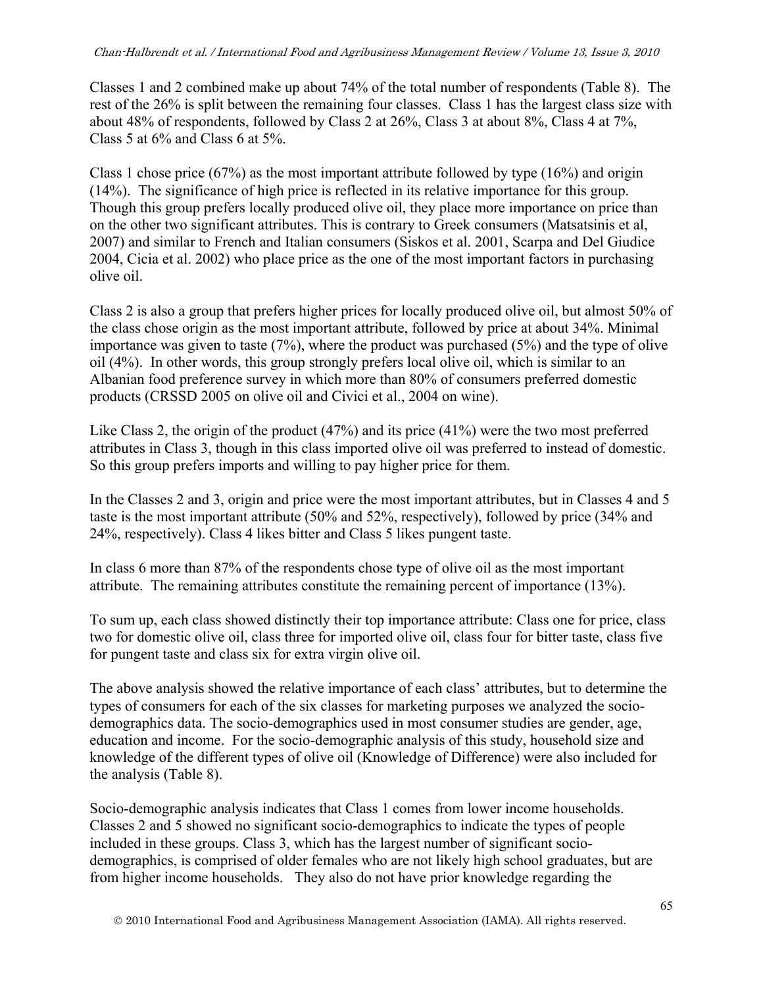Classes 1 and 2 combined make up about 74% of the total number of respondents (Table 8). The rest of the 26% is split between the remaining four classes. Class 1 has the largest class size with about 48% of respondents, followed by Class 2 at 26%, Class 3 at about 8%, Class 4 at 7%, Class 5 at 6% and Class 6 at 5%.

Class 1 chose price (67%) as the most important attribute followed by type (16%) and origin (14%). The significance of high price is reflected in its relative importance for this group. Though this group prefers locally produced olive oil, they place more importance on price than on the other two significant attributes. This is contrary to Greek consumers (Matsatsinis et al, 2007) and similar to French and Italian consumers (Siskos et al. 2001, Scarpa and Del Giudice 2004, Cicia et al. 2002) who place price as the one of the most important factors in purchasing olive oil.

Class 2 is also a group that prefers higher prices for locally produced olive oil, but almost 50% of the class chose origin as the most important attribute, followed by price at about 34%. Minimal importance was given to taste  $(7%)$ , where the product was purchased  $(5%)$  and the type of olive oil (4%). In other words, this group strongly prefers local olive oil, which is similar to an Albanian food preference survey in which more than 80% of consumers preferred domestic products (CRSSD 2005 on olive oil and Civici et al., 2004 on wine).

Like Class 2, the origin of the product (47%) and its price (41%) were the two most preferred attributes in Class 3, though in this class imported olive oil was preferred to instead of domestic. So this group prefers imports and willing to pay higher price for them.

In the Classes 2 and 3, origin and price were the most important attributes, but in Classes 4 and 5 taste is the most important attribute (50% and 52%, respectively), followed by price (34% and 24%, respectively). Class 4 likes bitter and Class 5 likes pungent taste.

In class 6 more than 87% of the respondents chose type of olive oil as the most important attribute. The remaining attributes constitute the remaining percent of importance (13%).

To sum up, each class showed distinctly their top importance attribute: Class one for price, class two for domestic olive oil, class three for imported olive oil, class four for bitter taste, class five for pungent taste and class six for extra virgin olive oil.

The above analysis showed the relative importance of each class' attributes, but to determine the types of consumers for each of the six classes for marketing purposes we analyzed the sociodemographics data. The socio-demographics used in most consumer studies are gender, age, education and income. For the socio-demographic analysis of this study, household size and knowledge of the different types of olive oil (Knowledge of Difference) were also included for the analysis (Table 8).

Socio-demographic analysis indicates that Class 1 comes from lower income households. Classes 2 and 5 showed no significant socio-demographics to indicate the types of people included in these groups. Class 3, which has the largest number of significant sociodemographics, is comprised of older females who are not likely high school graduates, but are from higher income households. They also do not have prior knowledge regarding the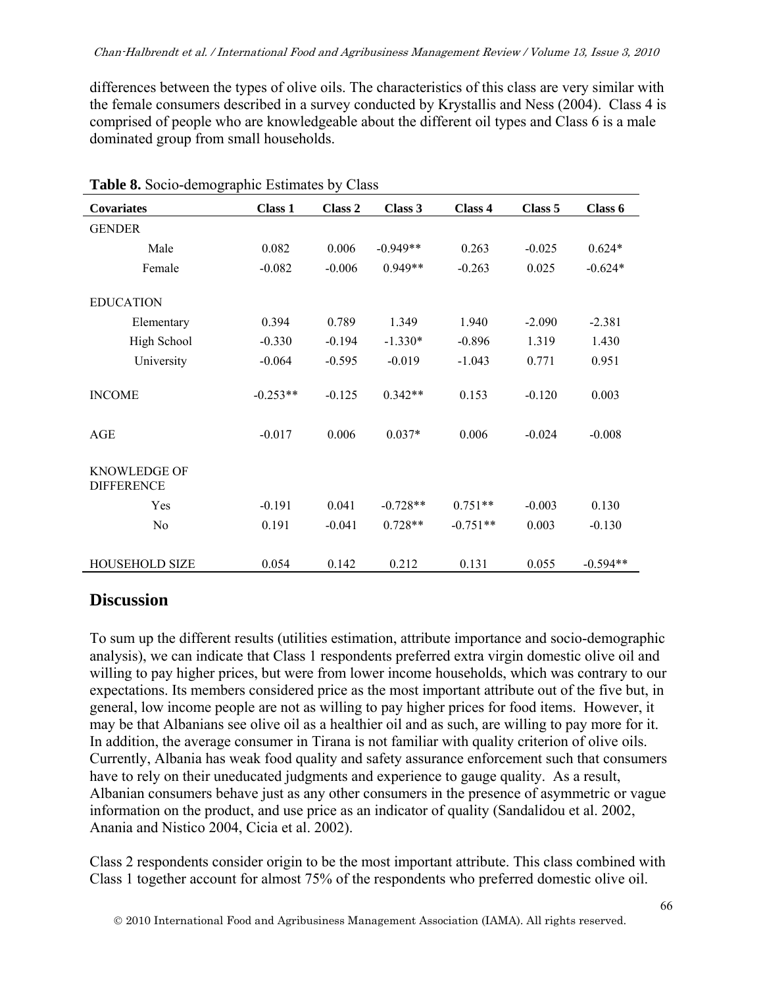differences between the types of olive oils. The characteristics of this class are very similar with the female consumers described in a survey conducted by Krystallis and Ness (2004). Class 4 is comprised of people who are knowledgeable about the different oil types and Class 6 is a male dominated group from small households.

| Covariates                               | Class 1    | Class 2  | Class 3    | Class 4    | Class 5  | Class 6    |
|------------------------------------------|------------|----------|------------|------------|----------|------------|
| <b>GENDER</b>                            |            |          |            |            |          |            |
|                                          |            |          |            |            |          |            |
| Male                                     | 0.082      | 0.006    | $-0.949**$ | 0.263      | $-0.025$ | $0.624*$   |
| Female                                   | $-0.082$   | $-0.006$ | $0.949**$  | $-0.263$   | 0.025    | $-0.624*$  |
| <b>EDUCATION</b>                         |            |          |            |            |          |            |
| Elementary                               | 0.394      | 0.789    | 1.349      | 1.940      | $-2.090$ | $-2.381$   |
| High School                              | $-0.330$   | $-0.194$ | $-1.330*$  | $-0.896$   | 1.319    | 1.430      |
| University                               | $-0.064$   | $-0.595$ | $-0.019$   | $-1.043$   | 0.771    | 0.951      |
| <b>INCOME</b>                            | $-0.253**$ | $-0.125$ | $0.342**$  | 0.153      | $-0.120$ | 0.003      |
| <b>AGE</b>                               | $-0.017$   | 0.006    | $0.037*$   | 0.006      | $-0.024$ | $-0.008$   |
| <b>KNOWLEDGE OF</b><br><b>DIFFERENCE</b> |            |          |            |            |          |            |
| Yes                                      | $-0.191$   | 0.041    | $-0.728**$ | $0.751**$  | $-0.003$ | 0.130      |
| N <sub>o</sub>                           | 0.191      | $-0.041$ | $0.728**$  | $-0.751**$ | 0.003    | $-0.130$   |
| HOUSEHOLD SIZE                           | 0.054      | 0.142    | 0.212      | 0.131      | 0.055    | $-0.594**$ |

| Table 8. Socio-demographic Estimates by Class |  |  |  |  |
|-----------------------------------------------|--|--|--|--|
|-----------------------------------------------|--|--|--|--|

# **Discussion**

To sum up the different results (utilities estimation, attribute importance and socio-demographic analysis), we can indicate that Class 1 respondents preferred extra virgin domestic olive oil and willing to pay higher prices, but were from lower income households, which was contrary to our expectations. Its members considered price as the most important attribute out of the five but, in general, low income people are not as willing to pay higher prices for food items. However, it may be that Albanians see olive oil as a healthier oil and as such, are willing to pay more for it. In addition, the average consumer in Tirana is not familiar with quality criterion of olive oils. Currently, Albania has weak food quality and safety assurance enforcement such that consumers have to rely on their uneducated judgments and experience to gauge quality. As a result, Albanian consumers behave just as any other consumers in the presence of asymmetric or vague information on the product, and use price as an indicator of quality (Sandalidou et al. 2002, Anania and Nistico 2004, Cicia et al. 2002).

Class 2 respondents consider origin to be the most important attribute. This class combined with Class 1 together account for almost 75% of the respondents who preferred domestic olive oil.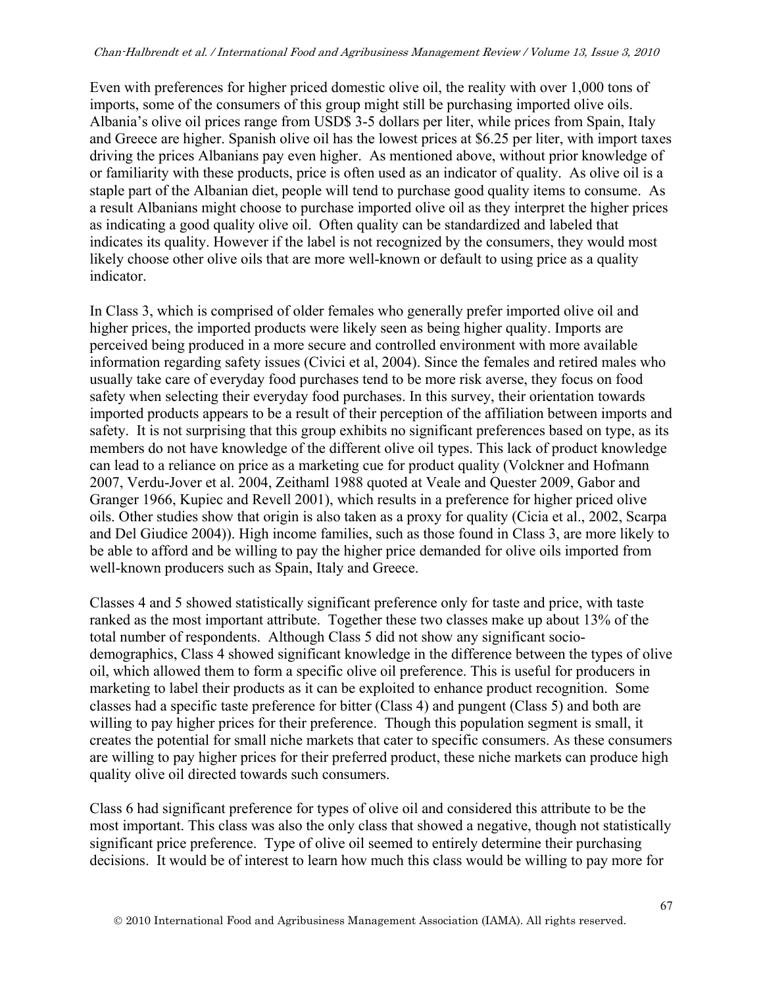Even with preferences for higher priced domestic olive oil, the reality with over 1,000 tons of imports, some of the consumers of this group might still be purchasing imported olive oils. Albania's olive oil prices range from USD\$ 3-5 dollars per liter, while prices from Spain, Italy and Greece are higher. Spanish olive oil has the lowest prices at \$6.25 per liter, with import taxes driving the prices Albanians pay even higher. As mentioned above, without prior knowledge of or familiarity with these products, price is often used as an indicator of quality. As olive oil is a staple part of the Albanian diet, people will tend to purchase good quality items to consume. As a result Albanians might choose to purchase imported olive oil as they interpret the higher prices as indicating a good quality olive oil. Often quality can be standardized and labeled that indicates its quality. However if the label is not recognized by the consumers, they would most likely choose other olive oils that are more well-known or default to using price as a quality indicator.

In Class 3, which is comprised of older females who generally prefer imported olive oil and higher prices, the imported products were likely seen as being higher quality. Imports are perceived being produced in a more secure and controlled environment with more available information regarding safety issues (Civici et al, 2004). Since the females and retired males who usually take care of everyday food purchases tend to be more risk averse, they focus on food safety when selecting their everyday food purchases. In this survey, their orientation towards imported products appears to be a result of their perception of the affiliation between imports and safety. It is not surprising that this group exhibits no significant preferences based on type, as its members do not have knowledge of the different olive oil types. This lack of product knowledge can lead to a reliance on price as a marketing cue for product quality (Volckner and Hofmann 2007, Verdu-Jover et al. 2004, Zeithaml 1988 quoted at Veale and Quester 2009, Gabor and Granger 1966, Kupiec and Revell 2001), which results in a preference for higher priced olive oils. Other studies show that origin is also taken as a proxy for quality (Cicia et al., 2002, Scarpa and Del Giudice 2004)). High income families, such as those found in Class 3, are more likely to be able to afford and be willing to pay the higher price demanded for olive oils imported from well-known producers such as Spain, Italy and Greece.

Classes 4 and 5 showed statistically significant preference only for taste and price, with taste ranked as the most important attribute. Together these two classes make up about 13% of the total number of respondents. Although Class 5 did not show any significant sociodemographics, Class 4 showed significant knowledge in the difference between the types of olive oil, which allowed them to form a specific olive oil preference. This is useful for producers in marketing to label their products as it can be exploited to enhance product recognition. Some classes had a specific taste preference for bitter (Class 4) and pungent (Class 5) and both are willing to pay higher prices for their preference. Though this population segment is small, it creates the potential for small niche markets that cater to specific consumers. As these consumers are willing to pay higher prices for their preferred product, these niche markets can produce high quality olive oil directed towards such consumers.

Class 6 had significant preference for types of olive oil and considered this attribute to be the most important. This class was also the only class that showed a negative, though not statistically significant price preference. Type of olive oil seemed to entirely determine their purchasing decisions. It would be of interest to learn how much this class would be willing to pay more for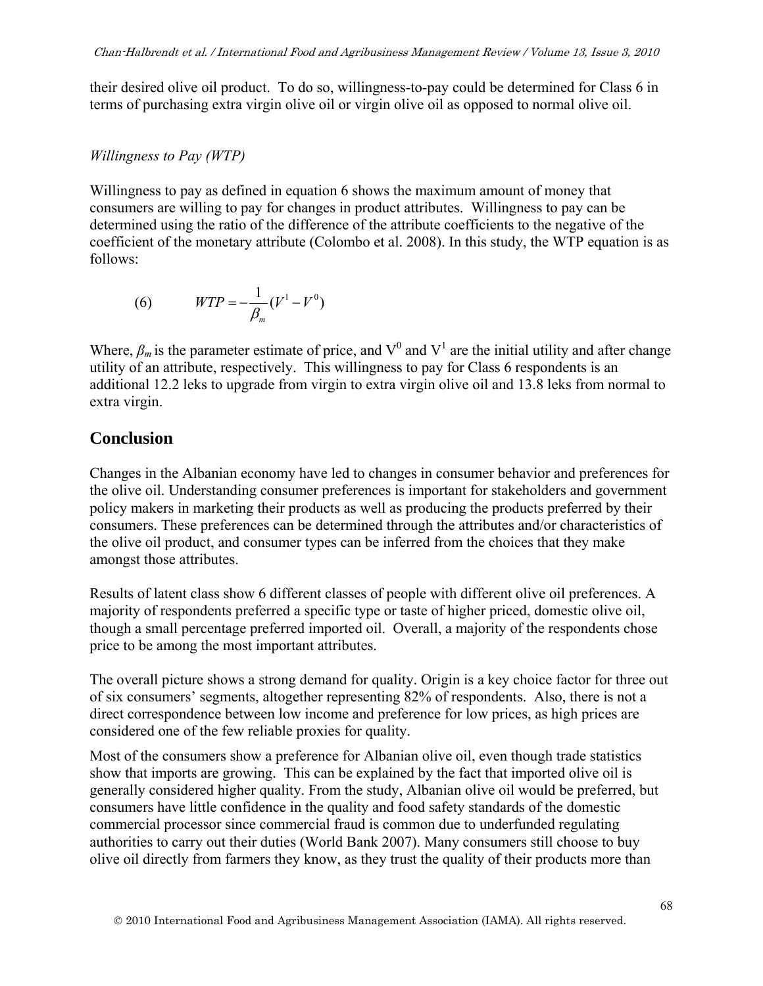their desired olive oil product. To do so, willingness-to-pay could be determined for Class 6 in terms of purchasing extra virgin olive oil or virgin olive oil as opposed to normal olive oil.

#### *Willingness to Pay (WTP)*

Willingness to pay as defined in equation 6 shows the maximum amount of money that consumers are willing to pay for changes in product attributes. Willingness to pay can be determined using the ratio of the difference of the attribute coefficients to the negative of the coefficient of the monetary attribute (Colombo et al. 2008). In this study, the WTP equation is as follows:

(6) 
$$
WTP = -\frac{1}{\beta_m} (V^1 - V^0)
$$

Where,  $\beta_m$  is the parameter estimate of price, and V<sup>0</sup> and V<sup>1</sup> are the initial utility and after change utility of an attribute, respectively. This willingness to pay for Class 6 respondents is an additional 12.2 leks to upgrade from virgin to extra virgin olive oil and 13.8 leks from normal to extra virgin.

## **Conclusion**

Changes in the Albanian economy have led to changes in consumer behavior and preferences for the olive oil. Understanding consumer preferences is important for stakeholders and government policy makers in marketing their products as well as producing the products preferred by their consumers. These preferences can be determined through the attributes and/or characteristics of the olive oil product, and consumer types can be inferred from the choices that they make amongst those attributes.

Results of latent class show 6 different classes of people with different olive oil preferences. A majority of respondents preferred a specific type or taste of higher priced, domestic olive oil, though a small percentage preferred imported oil. Overall, a majority of the respondents chose price to be among the most important attributes.

The overall picture shows a strong demand for quality. Origin is a key choice factor for three out of six consumers' segments, altogether representing 82% of respondents. Also, there is not a direct correspondence between low income and preference for low prices, as high prices are considered one of the few reliable proxies for quality.

Most of the consumers show a preference for Albanian olive oil, even though trade statistics show that imports are growing. This can be explained by the fact that imported olive oil is generally considered higher quality. From the study, Albanian olive oil would be preferred, but consumers have little confidence in the quality and food safety standards of the domestic commercial processor since commercial fraud is common due to underfunded regulating authorities to carry out their duties (World Bank 2007). Many consumers still choose to buy olive oil directly from farmers they know, as they trust the quality of their products more than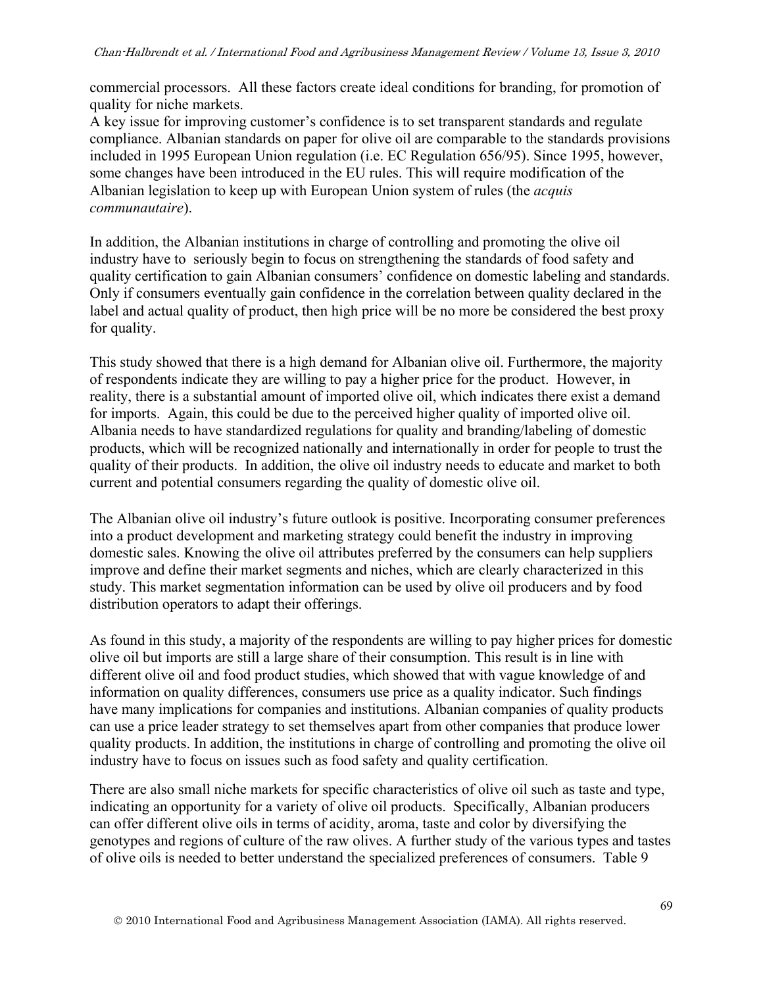commercial processors. All these factors create ideal conditions for branding, for promotion of quality for niche markets.

A key issue for improving customer's confidence is to set transparent standards and regulate compliance. Albanian standards on paper for olive oil are comparable to the standards provisions included in 1995 European Union regulation (i.e. EC Regulation 656/95). Since 1995, however, some changes have been introduced in the EU rules. This will require modification of the Albanian legislation to keep up with European Union system of rules (the *acquis communautaire*).

In addition, the Albanian institutions in charge of controlling and promoting the olive oil industry have to seriously begin to focus on strengthening the standards of food safety and quality certification to gain Albanian consumers' confidence on domestic labeling and standards. Only if consumers eventually gain confidence in the correlation between quality declared in the label and actual quality of product, then high price will be no more be considered the best proxy for quality.

This study showed that there is a high demand for Albanian olive oil. Furthermore, the majority of respondents indicate they are willing to pay a higher price for the product. However, in reality, there is a substantial amount of imported olive oil, which indicates there exist a demand for imports. Again, this could be due to the perceived higher quality of imported olive oil. Albania needs to have standardized regulations for quality and branding/labeling of domestic products, which will be recognized nationally and internationally in order for people to trust the quality of their products. In addition, the olive oil industry needs to educate and market to both current and potential consumers regarding the quality of domestic olive oil.

The Albanian olive oil industry's future outlook is positive. Incorporating consumer preferences into a product development and marketing strategy could benefit the industry in improving domestic sales. Knowing the olive oil attributes preferred by the consumers can help suppliers improve and define their market segments and niches, which are clearly characterized in this study. This market segmentation information can be used by olive oil producers and by food distribution operators to adapt their offerings.

As found in this study, a majority of the respondents are willing to pay higher prices for domestic olive oil but imports are still a large share of their consumption. This result is in line with different olive oil and food product studies, which showed that with vague knowledge of and information on quality differences, consumers use price as a quality indicator. Such findings have many implications for companies and institutions. Albanian companies of quality products can use a price leader strategy to set themselves apart from other companies that produce lower quality products. In addition, the institutions in charge of controlling and promoting the olive oil industry have to focus on issues such as food safety and quality certification.

There are also small niche markets for specific characteristics of olive oil such as taste and type, indicating an opportunity for a variety of olive oil products. Specifically, Albanian producers can offer different olive oils in terms of acidity, aroma, taste and color by diversifying the genotypes and regions of culture of the raw olives. A further study of the various types and tastes of olive oils is needed to better understand the specialized preferences of consumers. Table 9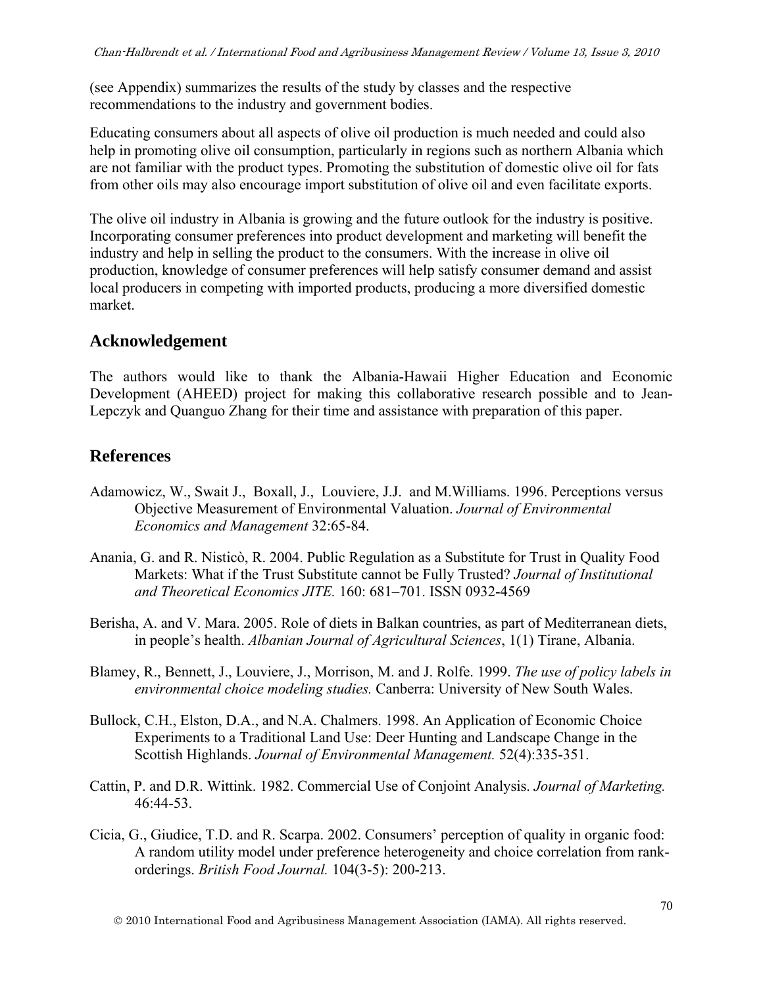(see Appendix) summarizes the results of the study by classes and the respective recommendations to the industry and government bodies.

Educating consumers about all aspects of olive oil production is much needed and could also help in promoting olive oil consumption, particularly in regions such as northern Albania which are not familiar with the product types. Promoting the substitution of domestic olive oil for fats from other oils may also encourage import substitution of olive oil and even facilitate exports.

The olive oil industry in Albania is growing and the future outlook for the industry is positive. Incorporating consumer preferences into product development and marketing will benefit the industry and help in selling the product to the consumers. With the increase in olive oil production, knowledge of consumer preferences will help satisfy consumer demand and assist local producers in competing with imported products, producing a more diversified domestic market.

# **Acknowledgement**

The authors would like to thank the Albania-Hawaii Higher Education and Economic Development (AHEED) project for making this collaborative research possible and to Jean-Lepczyk and Quanguo Zhang for their time and assistance with preparation of this paper.

## **References**

- Adamowicz, W., Swait J., Boxall, J., Louviere, J.J. and M.Williams. 1996. Perceptions versus Objective Measurement of Environmental Valuation. *Journal of Environmental Economics and Management* 32:65-84.
- Anania, G. and R. Nisticò, R. 2004. Public Regulation as a Substitute for Trust in Quality Food Markets: What if the Trust Substitute cannot be Fully Trusted? *Journal of Institutional and Theoretical Economics JITE.* 160: 681–701. ISSN 0932-4569
- Berisha, A. and V. Mara. 2005. Role of diets in Balkan countries, as part of Mediterranean diets, in people's health. *Albanian Journal of Agricultural Sciences*, 1(1) Tirane, Albania.
- Blamey, R., Bennett, J., Louviere, J., Morrison, M. and J. Rolfe. 1999. *The use of policy labels in environmental choice modeling studies.* Canberra: University of New South Wales.
- Bullock, C.H., Elston, D.A., and N.A. Chalmers. 1998. An Application of Economic Choice Experiments to a Traditional Land Use: Deer Hunting and Landscape Change in the Scottish Highlands. *Journal of Environmental Management.* 52(4):335-351.
- Cattin, P. and D.R. Wittink. 1982. Commercial Use of Conjoint Analysis. *Journal of Marketing.* 46:44-53.
- Cicia, G., Giudice, T.D. and R. Scarpa. 2002. Consumers' perception of quality in organic food: A random utility model under preference heterogeneity and choice correlation from rankorderings. *British Food Journal.* 104(3-5): 200-213.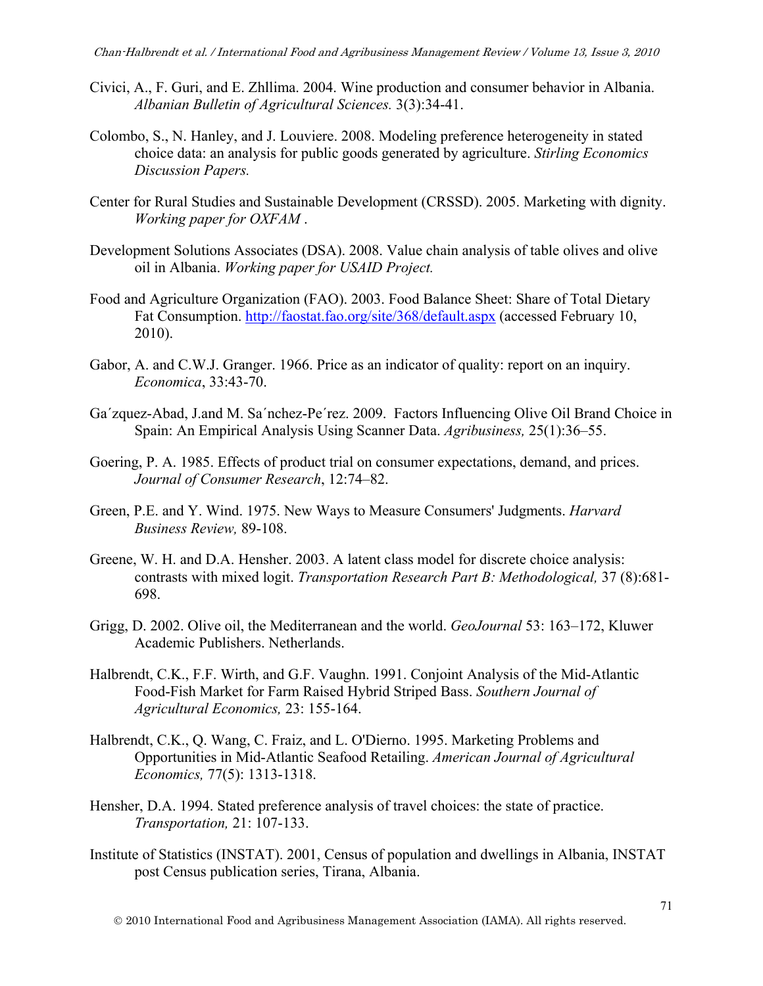- Civici, A., F. Guri, and E. Zhllima. 2004. Wine production and consumer behavior in Albania. *Albanian Bulletin of Agricultural Sciences.* 3(3):34-41.
- Colombo, S., N. Hanley, and J. Louviere. 2008. Modeling preference heterogeneity in stated choice data: an analysis for public goods generated by agriculture. *Stirling Economics Discussion Papers.*
- Center for Rural Studies and Sustainable Development (CRSSD). 2005. Marketing with dignity. *Working paper for OXFAM* .
- Development Solutions Associates (DSA). 2008. Value chain analysis of table olives and olive oil in Albania. *Working paper for USAID Project.*
- Food and Agriculture Organization (FAO). 2003. Food Balance Sheet: Share of Total Dietary Fat Consumption. http://faostat.fao.org/site/368/default.aspx (accessed February 10, 2010).
- Gabor, A. and C.W.J. Granger. 1966. Price as an indicator of quality: report on an inquiry. *Economica*, 33:43-70.
- Ga´zquez-Abad, J.and M. Sa´nchez-Pe´rez. 2009. Factors Influencing Olive Oil Brand Choice in Spain: An Empirical Analysis Using Scanner Data. *Agribusiness,* 25(1):36–55.
- Goering, P. A. 1985. Effects of product trial on consumer expectations, demand, and prices. *Journal of Consumer Research*, 12:74–82.
- Green, P.E. and Y. Wind. 1975. New Ways to Measure Consumers' Judgments. *Harvard Business Review,* 89-108.
- Greene, W. H. and D.A. Hensher. 2003. A latent class model for discrete choice analysis: contrasts with mixed logit. *Transportation Research Part B: Methodological,* 37 (8):681- 698.
- Grigg, D. 2002. Olive oil, the Mediterranean and the world. *GeoJournal* 53: 163–172, Kluwer Academic Publishers. Netherlands.
- Halbrendt, C.K., F.F. Wirth, and G.F. Vaughn. 1991. Conjoint Analysis of the Mid-Atlantic Food-Fish Market for Farm Raised Hybrid Striped Bass. *Southern Journal of Agricultural Economics,* 23: 155-164.
- Halbrendt, C.K., Q. Wang, C. Fraiz, and L. O'Dierno. 1995. Marketing Problems and Opportunities in Mid-Atlantic Seafood Retailing. *American Journal of Agricultural Economics,* 77(5): 1313-1318.
- Hensher, D.A. 1994. Stated preference analysis of travel choices: the state of practice. *Transportation,* 21: 107-133.
- Institute of Statistics (INSTAT). 2001, Census of population and dwellings in Albania, INSTAT post Census publication series, Tirana, Albania.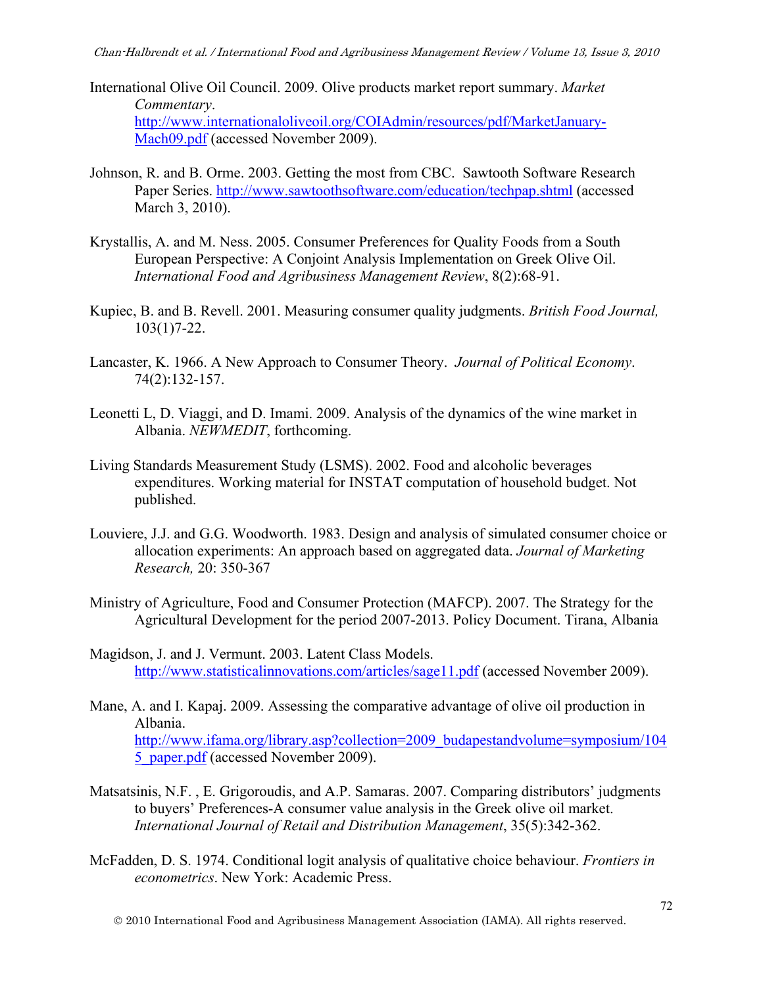- International Olive Oil Council. 2009. Olive products market report summary. *Market Commentary*. http://www.internationaloliveoil.org/COIAdmin/resources/pdf/MarketJanuary-Mach09.pdf (accessed November 2009).
- Johnson, R. and B. Orme. 2003. Getting the most from CBC. Sawtooth Software Research Paper Series. http://www.sawtoothsoftware.com/education/techpap.shtml (accessed March 3, 2010).
- Krystallis, A. and M. Ness. 2005. Consumer Preferences for Quality Foods from a South European Perspective: A Conjoint Analysis Implementation on Greek Olive Oil. *International Food and Agribusiness Management Review*, 8(2):68-91.
- Kupiec, B. and B. Revell. 2001. Measuring consumer quality judgments. *British Food Journal,*  103(1)7-22.
- Lancaster, K. 1966. A New Approach to Consumer Theory. *Journal of Political Economy*. 74(2):132-157.
- Leonetti L, D. Viaggi, and D. Imami. 2009. Analysis of the dynamics of the wine market in Albania. *NEWMEDIT*, forthcoming.
- Living Standards Measurement Study (LSMS). 2002. Food and alcoholic beverages expenditures. Working material for INSTAT computation of household budget. Not published.
- Louviere, J.J. and G.G. Woodworth. 1983. Design and analysis of simulated consumer choice or allocation experiments: An approach based on aggregated data. *Journal of Marketing Research,* 20: 350-367
- Ministry of Agriculture, Food and Consumer Protection (MAFCP). 2007. The Strategy for the Agricultural Development for the period 2007-2013. Policy Document. Tirana, Albania

Magidson, J. and J. Vermunt. 2003. Latent Class Models. http://www.statisticalinnovations.com/articles/sage11.pdf (accessed November 2009).

- Mane, A. and I. Kapaj. 2009. Assessing the comparative advantage of olive oil production in Albania. http://www.ifama.org/library.asp?collection=2009\_budapestandvolume=symposium/104 5 paper.pdf (accessed November 2009).
- Matsatsinis, N.F. , E. Grigoroudis, and A.P. Samaras. 2007. Comparing distributors' judgments to buyers' Preferences-A consumer value analysis in the Greek olive oil market. *International Journal of Retail and Distribution Management*, 35(5):342-362.
- McFadden, D. S. 1974. Conditional logit analysis of qualitative choice behaviour. *Frontiers in econometrics*. New York: Academic Press.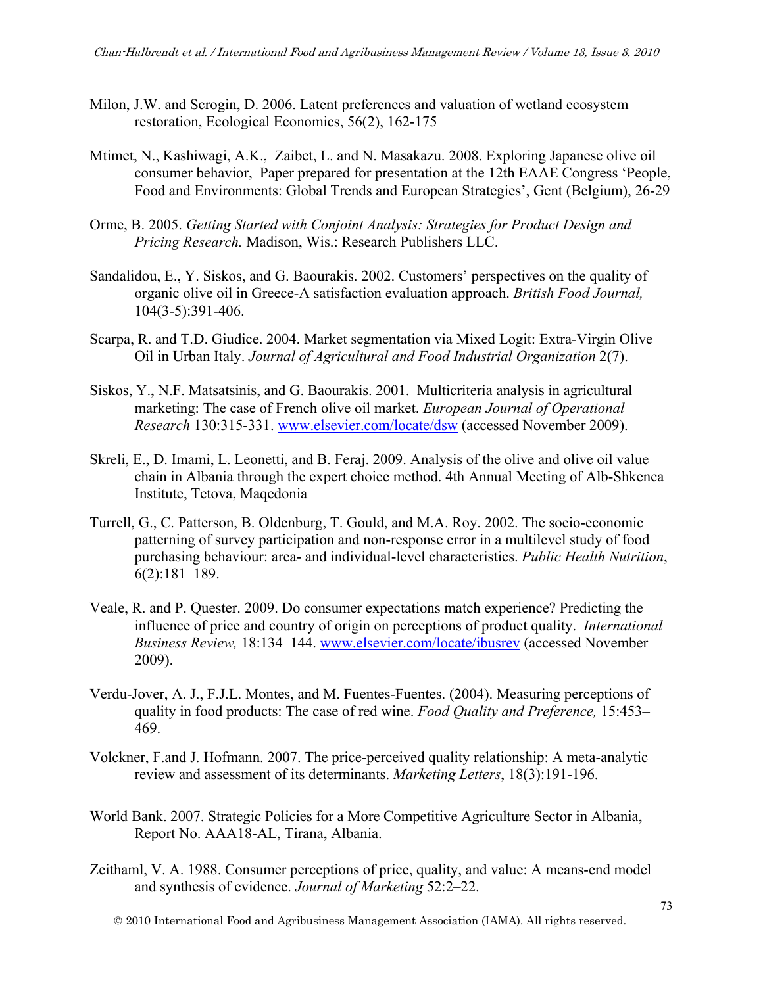- Milon, J.W. and Scrogin, D. 2006. Latent preferences and valuation of wetland ecosystem restoration, Ecological Economics, 56(2), 162-175
- Mtimet, N., Kashiwagi, A.K., Zaibet, L. and N. Masakazu. 2008. Exploring Japanese olive oil consumer behavior, Paper prepared for presentation at the 12th EAAE Congress 'People, Food and Environments: Global Trends and European Strategies', Gent (Belgium), 26-29
- Orme, B. 2005. *Getting Started with Conjoint Analysis: Strategies for Product Design and Pricing Research.* Madison, Wis.: Research Publishers LLC.
- Sandalidou, E., Y. Siskos, and G. Baourakis. 2002. Customers' perspectives on the quality of organic olive oil in Greece-A satisfaction evaluation approach. *British Food Journal,* 104(3-5):391-406.
- Scarpa, R. and T.D. Giudice. 2004. Market segmentation via Mixed Logit: Extra-Virgin Olive Oil in Urban Italy. *Journal of Agricultural and Food Industrial Organization* 2(7).
- Siskos, Y., N.F. Matsatsinis, and G. Baourakis. 2001. Multicriteria analysis in agricultural marketing: The case of French olive oil market. *European Journal of Operational Research* 130:315-331. www.elsevier.com/locate/dsw (accessed November 2009).
- Skreli, E., D. Imami, L. Leonetti, and B. Feraj. 2009. Analysis of the olive and olive oil value chain in Albania through the expert choice method. 4th Annual Meeting of Alb-Shkenca Institute, Tetova, Maqedonia
- Turrell, G., C. Patterson, B. Oldenburg, T. Gould, and M.A. Roy. 2002. The socio-economic patterning of survey participation and non-response error in a multilevel study of food purchasing behaviour: area- and individual-level characteristics. *Public Health Nutrition*, 6(2):181–189.
- Veale, R. and P. Quester. 2009. Do consumer expectations match experience? Predicting the influence of price and country of origin on perceptions of product quality. *International Business Review,* 18:134–144. www.elsevier.com/locate/ibusrev (accessed November 2009).
- Verdu-Jover, A. J., F.J.L. Montes, and M. Fuentes-Fuentes. (2004). Measuring perceptions of quality in food products: The case of red wine. *Food Quality and Preference,* 15:453– 469.
- Volckner, F.and J. Hofmann. 2007. The price-perceived quality relationship: A meta-analytic review and assessment of its determinants. *Marketing Letters*, 18(3):191-196.
- World Bank. 2007. Strategic Policies for a More Competitive Agriculture Sector in Albania, Report No. AAA18-AL, Tirana, Albania.
- Zeithaml, V. A. 1988. Consumer perceptions of price, quality, and value: A means-end model and synthesis of evidence. *Journal of Marketing* 52:2–22.